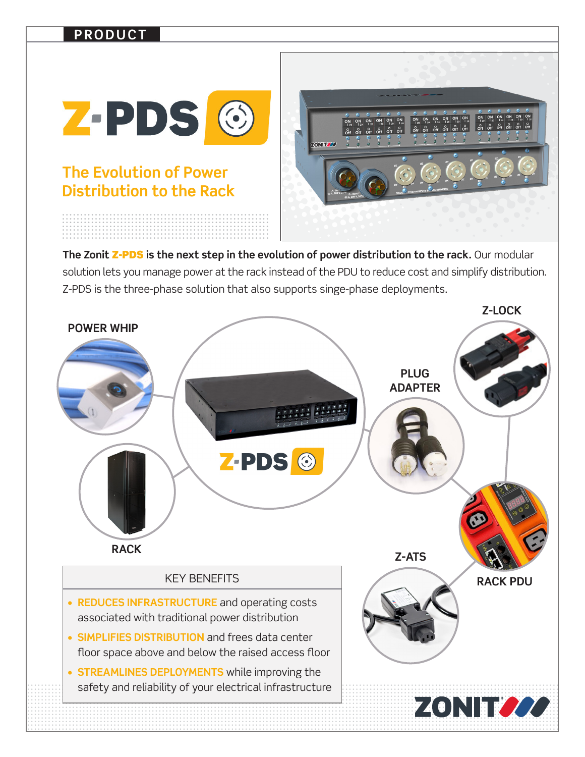## **PRODUCT**



## **Distribution to the Rack**

The Zonit Z-PDS is the next step in the evolution of power distribution to the rack. Our modular solution lets you manage power at the rack instead of the PDU to reduce cost and simplify distribution. Z-PDS is the three-phase solution that also supports singe-phase deployments.